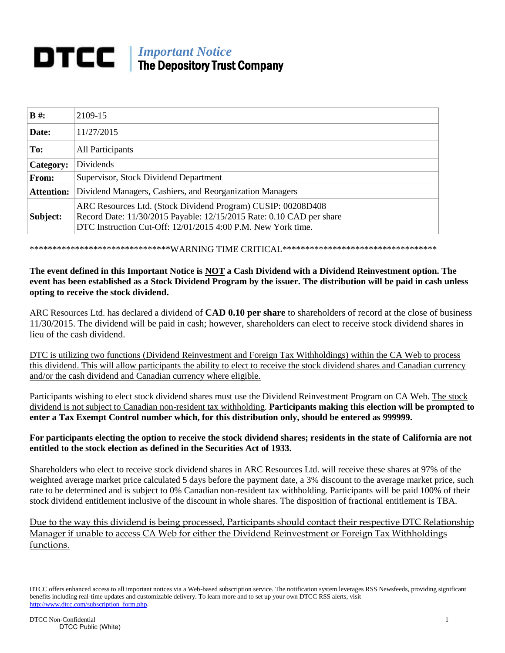## *Important Notice* The Depository Trust Company

| $B \#$ :          | 2109-15                                                                                                                                                                                              |
|-------------------|------------------------------------------------------------------------------------------------------------------------------------------------------------------------------------------------------|
| Date:             | 11/27/2015                                                                                                                                                                                           |
| To:               | All Participants                                                                                                                                                                                     |
| Category:         | Dividends                                                                                                                                                                                            |
| From:             | Supervisor, Stock Dividend Department                                                                                                                                                                |
| <b>Attention:</b> | Dividend Managers, Cashiers, and Reorganization Managers                                                                                                                                             |
| Subject:          | ARC Resources Ltd. (Stock Dividend Program) CUSIP: 00208D408<br>Record Date: 11/30/2015 Payable: 12/15/2015 Rate: 0.10 CAD per share<br>DTC Instruction Cut-Off: 12/01/2015 4:00 P.M. New York time. |

\*\*\*\*\*\*\*\*\*\*\*\*\*\*\*\*\*\*\*\*\*\*\*\*\*\*\*\*\*\*\*WARNING TIME CRITICAL\*\*\*\*\*\*\*\*\*\*\*\*\*\*\*\*\*\*\*\*\*\*\*\*\*\*\*\*\*\*\*\*\*\*

## **The event defined in this Important Notice is NOT a Cash Dividend with a Dividend Reinvestment option. The event has been established as a Stock Dividend Program by the issuer. The distribution will be paid in cash unless opting to receive the stock dividend.**

ARC Resources Ltd. has declared a dividend of **CAD 0.10 per share** to shareholders of record at the close of business 11/30/2015. The dividend will be paid in cash; however, shareholders can elect to receive stock dividend shares in lieu of the cash dividend.

DTC is utilizing two functions (Dividend Reinvestment and Foreign Tax Withholdings) within the CA Web to process this dividend. This will allow participants the ability to elect to receive the stock dividend shares and Canadian currency and/or the cash dividend and Canadian currency where eligible.

Participants wishing to elect stock dividend shares must use the Dividend Reinvestment Program on CA Web. The stock dividend is not subject to Canadian non-resident tax withholding. **Participants making this election will be prompted to enter a Tax Exempt Control number which, for this distribution only, should be entered as 999999.**

## **For participants electing the option to receive the stock dividend shares; residents in the state of California are not entitled to the stock election as defined in the Securities Act of 1933.**

Shareholders who elect to receive stock dividend shares in ARC Resources Ltd. will receive these shares at 97% of the weighted average market price calculated 5 days before the payment date, a 3% discount to the average market price, such rate to be determined and is subject to 0% Canadian non-resident tax withholding. Participants will be paid 100% of their stock dividend entitlement inclusive of the discount in whole shares. The disposition of fractional entitlement is TBA.

Due to the way this dividend is being processed, Participants should contact their respective DTC Relationship Manager if unable to access CA Web for either the Dividend Reinvestment or Foreign Tax Withholdings functions.

DTCC offers enhanced access to all important notices via a Web-based subscription service. The notification system leverages RSS Newsfeeds, providing significant benefits including real-time updates and customizable delivery. To learn more and to set up your own DTCC RSS alerts, visit [http://www.dtcc.com/subscription\\_form.php.](http://www.dtcc.com/subscription_form.php)